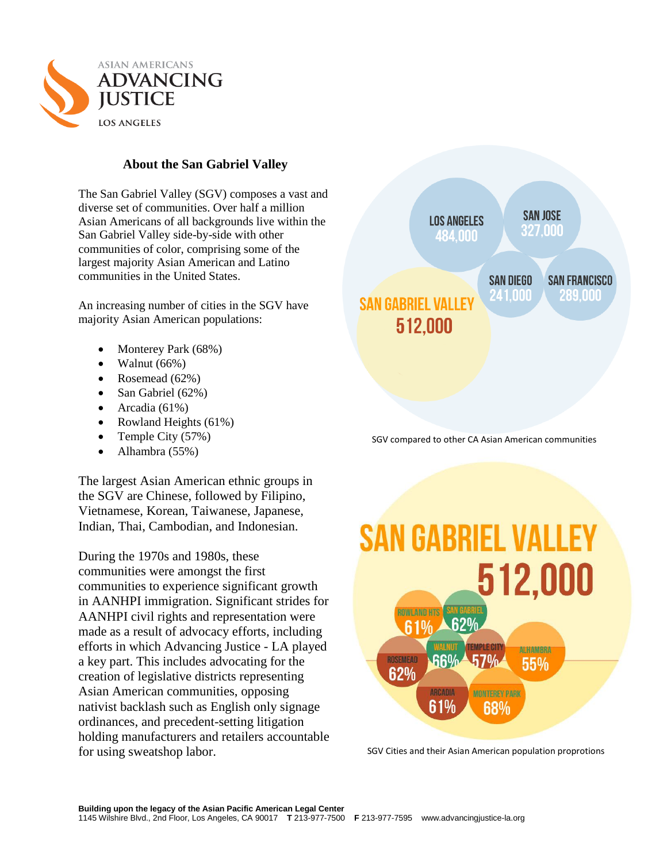

## **About the San Gabriel Valley**

The San Gabriel Valley (SGV) composes a vast and diverse set of communities. Over half a million Asian Americans of all backgrounds live within the San Gabriel Valley side-by-side with other communities of color, comprising some of the largest majority Asian American and Latino communities in the United States.

An increasing number of cities in the SGV have majority Asian American populations:

- Monterey Park (68%)
- $\bullet$  Walnut (66%)
- Rosemead  $(62\%)$
- $\bullet$  San Gabriel (62%)
- Arcadia (61%)
- Rowland Heights (61%)
- Temple City  $(57%)$
- Alhambra (55%)

The largest Asian American ethnic groups in the SGV are Chinese, followed by Filipino, Vietnamese, Korean, Taiwanese, Japanese, Indian, Thai, Cambodian, and Indonesian.

During the 1970s and 1980s, these communities were amongst the first communities to experience significant growth in AANHPI immigration. Significant strides for AANHPI civil rights and representation were made as a result of advocacy efforts, including efforts in which Advancing Justice - LA played a key part. This includes advocating for the creation of legislative districts representing Asian American communities, opposing nativist backlash such as English only signage ordinances, and precedent-setting litigation holding manufacturers and retailers accountable for using sweatshop labor.



SGV compared to other CA Asian American communities



SGV Cities and their Asian American population proprotions